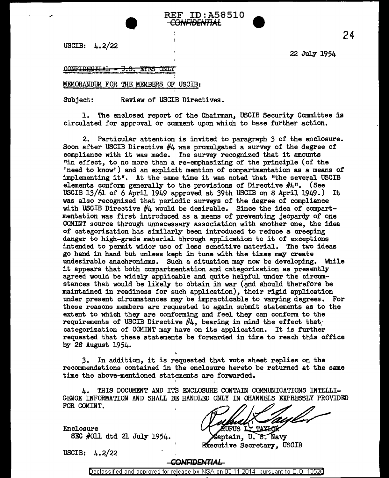USCIB:  $\mu$ .2/22

..

22 July 1954

### CONFIDENTIAL - U.S. EYES ONLY

#### MEMORANDUM FOR THE MEMBERS OF USCIB:

•

Subject: Review of USCIB Directives.

1. The enclosed report of the Chairman, USCIB Security Committee is circulated for approval or comment upon which to base further action.

REF ID:A58510 <del>CONFIDENTIAL</del>

2. Particular attention is invited to paragraph 3 of the enclosure. Soon after USCIB Directive  $#4$  was promulgated a survey of the degree of compliance with it was made. The survey recognized that it amounts "in effect, to no more than a re-emphasizing of the principle (of the 'need to know•) and an explicit mention of compartmentation as a means of' implementing it". At the same time it was noted that "the several USCIB elements conform generally to the provisions of Directive  $#4^n$ . (See USCIB 13/61 of 6 April 1949 approved at 39th USCIB on 8 April 1949.) It was also recognized that periodic surveys of the degree of compliance with USCIB Directive #4 would be desirable. Since the idea of compartmentation was first introduced as a means of preventing jeopardy of one COMINT source through unnecessary association with another one, the idea of categorization has similarly been introduced to reduce a creeping danger to high-grade material through application to it of exceptions intended to permit wider use of less sensitive material. The two ideas go hand in hand but unless kept in tune with the times may create undesirable anachronisms. Such a situation may now be developing. While it appears that both compartmentation and categorization as presently agreed would be widely applicable and quite helpful under the circum-· stances that would be likely to obtain in war (and should therefore be maintained in readiness for such application), their rigid application under present circumstances may be impracticable to varying degrees. For these reasons members are requested to again submit statements as to the extent to which they are conforming and feel they can conform to the requirements of USCIB Directive  $#4$ , bearing in mind the effect that categorization of COMINT may have on its application. It is further requested that these statements be forwarded in time to reach this office by 28 August 1954.

3. In addition, it is requested that vote sheet replies on the recommendations contained in the enclosure hereto be returned at the same time the above-mentioned statements are forwarded.

4. THIS DOCUMENT AND ITS ENCLOSURE CONTAIN COMMUNICATIONS INTELLI-GENCE INFORMATION AND SHALL BE HANDLED ONLY IN CHANNELS EXPRESSLY PROVIDED FOR COMINT.

Enclosure SEC #011 dtd 21 July 1954.

UFUS L. TAXLOR

Saptain, U.S. Navy Executive Secretary, USCIB

USCIB: 4.2/22

#### -CONFIDENTIAL

24

Declassified and approved for release by NSA on 03-11-2014 pursuant to E. 0. 1352B